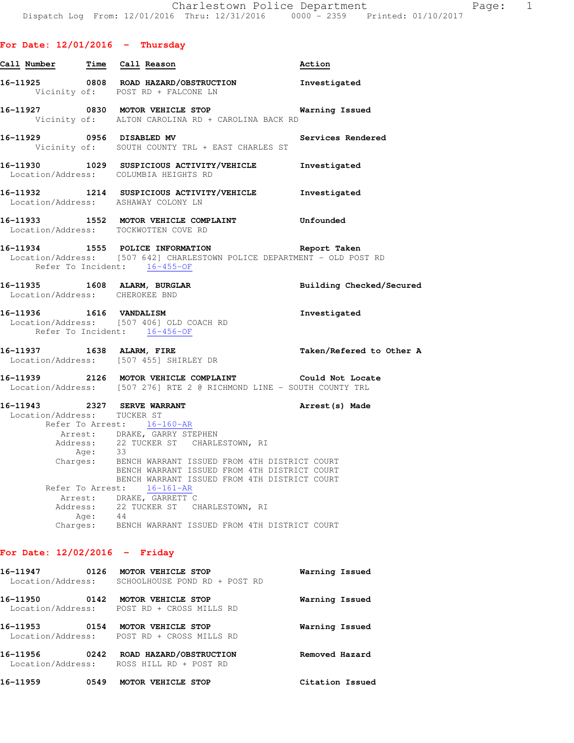|  | For Date: 12/01/2016 |  |  |  |  | Thursday |
|--|----------------------|--|--|--|--|----------|
|--|----------------------|--|--|--|--|----------|

| <u>Call Number — Time Call Reason</u> |                  |                                                                                                                                                                                                                                           | Action            |
|---------------------------------------|------------------|-------------------------------------------------------------------------------------------------------------------------------------------------------------------------------------------------------------------------------------------|-------------------|
|                                       |                  | 16-11925 0808 ROAD HAZARD/OBSTRUCTION Investigated<br>Vicinity of: POST RD + FALCONE LN                                                                                                                                                   |                   |
|                                       |                  | 16-11927 0830 MOTOR VEHICLE STOP <b>Warning Issued</b><br>Vicinity of: ALTON CAROLINA RD + CAROLINA BACK RD                                                                                                                               |                   |
|                                       |                  | 16-11929 0956 DISABLED MV<br>Vicinity of: SOUTH COUNTY TRL + EAST CHARLES ST                                                                                                                                                              | Services Rendered |
|                                       |                  | 16-11930 1029 SUSPICIOUS ACTIVITY/VEHICLE Investigated<br>Location/Address: COLUMBIA HEIGHTS RD                                                                                                                                           |                   |
|                                       |                  | 16-11932 1214 SUSPICIOUS ACTIVITY/VEHICLE Investigated<br>Location/Address: ASHAWAY COLONY LN                                                                                                                                             |                   |
|                                       |                  | 16-11933 1552 MOTOR VEHICLE COMPLAINT Unfounded<br>Location/Address: TOCKWOTTEN COVE RD                                                                                                                                                   |                   |
|                                       |                  | 16-11934 1555 POLICE INFORMATION Report Taken<br>Location/Address: [507 642] CHARLESTOWN POLICE DEPARTMENT - OLD POST RD<br>Refer To Incident: 16-455-OF                                                                                  |                   |
| Location/Address: CHEROKEE BND        |                  | 16-11935 1608 ALARM, BURGLAR 1999 Building Checked/Secured                                                                                                                                                                                |                   |
|                                       |                  | 16-11936    1616    VANDALISM<br>Location/Address: [507 406] OLD COACH RD<br>Refer To Incident: 16-456-OF                                                                                                                                 | Investigated      |
|                                       |                  | 16-11937 1638 ALARM, FIRE Taken/Refered to Other A<br>Location/Address: [507 455] SHIRLEY DR                                                                                                                                              |                   |
|                                       |                  | 16-11939 2126 MOTOR VEHICLE COMPLAINT Could Not Locate<br>Location/Address: [507 276] RTE 2 @ RICHMOND LINE - SOUTH COUNTY TRL                                                                                                            |                   |
| Location/Address: TUCKER ST           |                  | 16-11943 2327 SERVE WARRANT 200 Arrest (s) Made<br>Refer To Arrest: 16-160-AR                                                                                                                                                             |                   |
|                                       |                  | Arrest: DRAKE, GARRY STEPHEN<br>Address: 22 TUCKER ST CHARLESTOWN, RI<br>Age: 33<br>Charges: BENCH WARRANT ISSUED FROM 4TH DISTRICT COURT<br>BENCH WARRANT ISSUED FROM 4TH DISTRICT COURT<br>BENCH WARRANT ISSUED FROM 4TH DISTRICT COURT |                   |
|                                       | Refer To Arrest: | $16 - 161 - AR$                                                                                                                                                                                                                           |                   |
|                                       | Arrest:          | DRAKE, GARRETT C                                                                                                                                                                                                                          |                   |
|                                       |                  | Address: 22 TUCKER ST CHARLESTOWN, RI                                                                                                                                                                                                     |                   |
|                                       | Age:             | 44<br>Charges: BENCH WARRANT ISSUED FROM 4TH DISTRICT COURT                                                                                                                                                                               |                   |
| For Date: $12/02/2016$ - Friday       |                  |                                                                                                                                                                                                                                           |                   |

# **16-11947 0126 MOTOR VEHICLE STOP Warning Issued**  Location/Address: SCHOOLHOUSE POND RD + POST RD **16-11950 0142 MOTOR VEHICLE STOP Warning Issued**  Location/Address: POST RD + CROSS MILLS RD **16-11953 0154 MOTOR VEHICLE STOP Warning Issued**  Location/Address: POST RD + CROSS MILLS RD **16-11956 0242 ROAD HAZARD/OBSTRUCTION Removed Hazard**  Location/Address: ROSS HILL RD + POST RD **16-11959 0549 MOTOR VEHICLE STOP Citation Issued**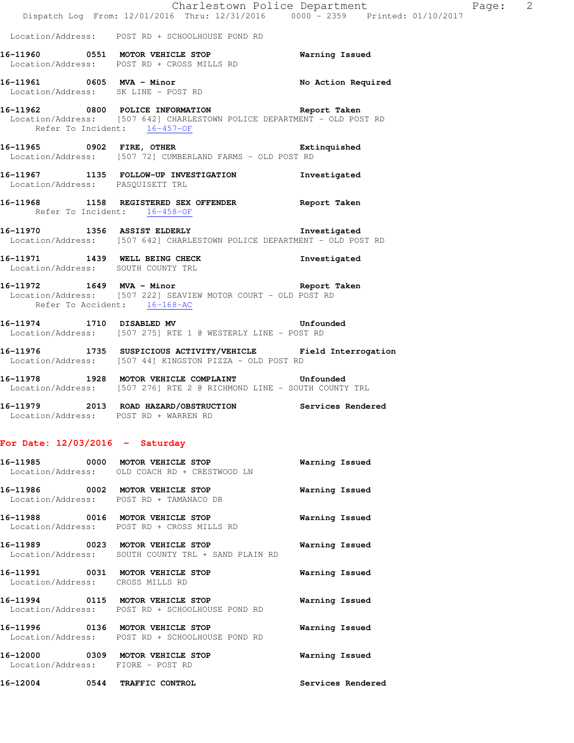|                                   | Dispatch Log From: 12/01/2016 Thru: 12/31/2016 0000 - 2359 Printed: 01/10/2017                                                                                        | Charlestown Police Department Page: 2 |  |
|-----------------------------------|-----------------------------------------------------------------------------------------------------------------------------------------------------------------------|---------------------------------------|--|
|                                   | Location/Address: POST RD + SCHOOLHOUSE POND RD                                                                                                                       |                                       |  |
|                                   | 16-11960   0551   MOTOR VEHICLE STOP   Warning Issued Location/Address:   POST RD + CROSS MILLS RD                                                                    |                                       |  |
|                                   | 16-11961 0605 MVA - Minor<br>Location/Address: SK LINE - POST RD<br>Location/Address: SK LINE - POST RD                                                               |                                       |  |
|                                   | 16-11962 0800 POLICE INFORMATION Report Taken<br>Location/Address: [507 642] CHARLESTOWN POLICE DEPARTMENT - OLD POST RD<br>Refer To Incident: $\frac{16-457-OF}{25}$ |                                       |  |
|                                   | 16-11965 0902 FIRE, OTHER 2008 Extinquished<br>Location/Address: [507 72] CUMBERLAND FARMS - OLD POST RD                                                              |                                       |  |
| Location/Address: PASQUISETT TRL  | 16-11967 1135 FOLLOW-UP INVESTIGATION Investigated                                                                                                                    |                                       |  |
|                                   | 16-11968 1158 REGISTERED SEX OFFENDER Report Taken<br>Refer To Incident: 16-458-OF                                                                                    |                                       |  |
|                                   | 16-11970 1356 ASSIST ELDERLY 16-11970 1111<br>Location/Address: [507 642] CHARLESTOWN POLICE DEPARTMENT - OLD POST RD                                                 |                                       |  |
|                                   | 16-11971 1439 WELL BEING CHECK<br>Location/Address: SOUTH COUNTY TRL                                                                                                  | Investigated                          |  |
|                                   | 16-11972 1649 MVA - Minor 16-11972 Report Taken<br>Location/Address: [507 222] SEAVIEW MOTOR COURT - OLD POST RD<br>Refer To Accident: 16-168-AC                      |                                       |  |
|                                   | 16-11974 1710 DISABLED MV 16-11974<br>Location/Address: [507 275] RTE 1 @ WESTERLY LINE - POST RD                                                                     |                                       |  |
|                                   | 16-11976 1735 SUSPICIOUS ACTIVITY/VEHICLE Field Interrogation<br>Location/Address: [507 44] KINGSTON PIZZA - OLD POST RD                                              |                                       |  |
|                                   | 16-11978 1928 MOTOR VEHICLE COMPLAINT Unfounded<br>Location/Address: [507 276] RTE 2 @ RICHMOND LINE - SOUTH COUNTY TRL                                               |                                       |  |
|                                   | 16-11979 2013 ROAD HAZARD/OBSTRUCTION Services Rendered<br>Location/Address: POST RD + WARREN RD                                                                      |                                       |  |
| For Date: $12/03/2016$ - Saturday |                                                                                                                                                                       |                                       |  |
|                                   | 16-11985 0000 MOTOR VEHICLE STOP<br>Location/Address: OLD COACH RD + CRESTWOOD LN                                                                                     | Warning Issued                        |  |
|                                   | 16-11986 0002 MOTOR VEHICLE STOP<br>Location/Address: POST RD + TAMANACO DR                                                                                           | Warning Issued                        |  |
|                                   | 16-11988 0016 MOTOR VEHICLE STOP<br>Location/Address: POST RD + CROSS MILLS RD                                                                                        | Warning Issued                        |  |
|                                   | 16-11989 0023 MOTOR VEHICLE STOP<br>Location/Address: SOUTH COUNTY TRL + SAND PLAIN RD                                                                                | Warning Issued                        |  |
| Location/Address: CROSS MILLS RD  | 16-11991 0031 MOTOR VEHICLE STOP                                                                                                                                      | Warning Issued                        |  |
|                                   | 16-11994 0115 MOTOR VEHICLE STOP<br>Location/Address: POST RD + SCHOOLHOUSE POND RD                                                                                   | Warning Issued                        |  |
|                                   | 16-11996 0136 MOTOR VEHICLE STOP<br>Location/Address: POST RD + SCHOOLHOUSE POND RD                                                                                   | Warning Issued                        |  |
| Location/Address: FIORE - POST RD | 16-12000 0309 MOTOR VEHICLE STOP                                                                                                                                      | Warning Issued                        |  |
|                                   | 16-12004 0544 TRAFFIC CONTROL                                                                                                                                         | Services Rendered                     |  |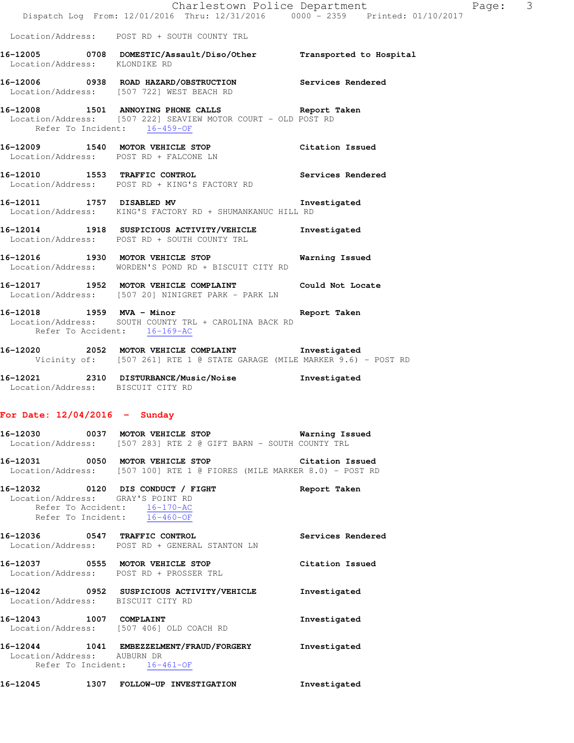|                                   | Charlestown Police Department<br>Dispatch Log From: 12/01/2016 Thru: 12/31/2016 0000 - 2359 Printed: 01/10/2017               |                   |
|-----------------------------------|-------------------------------------------------------------------------------------------------------------------------------|-------------------|
|                                   | Location/Address: POST RD + SOUTH COUNTY TRL                                                                                  |                   |
| Location/Address: KLONDIKE RD     | 16-12005 0708 DOMESTIC/Assault/Diso/Other Transported to Hospital                                                             |                   |
|                                   | 16-12006 0938 ROAD HAZARD/OBSTRUCTION Services Rendered<br>Location/Address: [507 722] WEST BEACH RD                          |                   |
| Refer To Incident: 16-459-OF      | 16-12008 1501 ANNOYING PHONE CALLS Report Taken<br>Location/Address: [507 222] SEAVIEW MOTOR COURT - OLD POST RD              |                   |
|                                   | 16-12009 1540 MOTOR VEHICLE STOP Citation Issued<br>Location/Address: POST RD + FALCONE LN                                    |                   |
|                                   | 16-12010 1553 TRAFFIC CONTROL 2000 Services Rendered<br>Location/Address: POST RD + KING'S FACTORY RD                         |                   |
|                                   | 16-12011 1757 DISABLED MV 16-12011<br>Location/Address: KING'S FACTORY RD + SHUMANKANUC HILL RD                               |                   |
|                                   | 16-12014 1918 SUSPICIOUS ACTIVITY/VEHICLE Investigated<br>Location/Address: POST RD + SOUTH COUNTY TRL                        |                   |
|                                   | 16-12016 1930 MOTOR VEHICLE STOP <b>Warning Issued</b><br>Location/Address: WORDEN'S POND RD + BISCUIT CITY RD                |                   |
|                                   | 16-12017 1952 MOTOR VEHICLE COMPLAINT Could Not Locate<br>Location/Address: [507 20] NINIGRET PARK - PARK LN                  |                   |
| Refer To Accident: 16-169-AC      | 16-12018 1959 MVA - Minor<br>Location/Address: SOUTH COUNTY TRL + CAROLINA BACK RD                                            | Report Taken      |
|                                   | 16-12020 2052 MOTOR VEHICLE COMPLAINT Thvestigated<br>Vicinity of: [507 261] RTE 1 @ STATE GARAGE (MILE MARKER 9.6) - POST RD |                   |
| Location/Address: BISCUIT CITY RD | 16-12021 2310 DISTURBANCE/Music/Noise Investigated                                                                            |                   |
| For Date: $12/04/2016$ - Sunday   |                                                                                                                               |                   |
|                                   | 16-12030 0037 MOTOR VEHICLE STOP 6 Warning Issued<br>Location/Address: [507 283] RTE 2 @ GIFT BARN - SOUTH COUNTY TRL         |                   |
|                                   | 16-12031 0050 MOTOR VEHICLE STOP Citation Issued<br>Location/Address: [507 100] RTE 1 @ FIORES (MILE MARKER 8.0) - POST RD    |                   |
| Location/Address: GRAY'S POINT RD | 16-12032 0120 DIS CONDUCT / FIGHT<br>Refer To Accident: 16-170-AC<br>Refer To Incident: 16-460-OF                             | Report Taken      |
| 16-12036 0547 TRAFFIC CONTROL     | Location/Address: POST RD + GENERAL STANTON LN                                                                                | Services Rendered |
|                                   | 16-12037 0555 MOTOR VEHICLE STOP<br>Location/Address: POST RD + PROSSER TRL                                                   | Citation Issued   |
| Location/Address: BISCUIT CITY RD | 16-12042 0952 SUSPICIOUS ACTIVITY/VEHICLE Investigated                                                                        |                   |

Page: 3

**16-12043 1007 COMPLAINT Investigated**  Location/Address: [507 406] OLD COACH RD

**16-12044 1041 EMBEZZELMENT/FRAUD/FORGERY Investigated**  Location/Address: AUBURN DR Refer To Incident:  $\frac{16-461-OF}{}$ 

**16-12045 1307 FOLLOW-UP INVESTIGATION Investigated**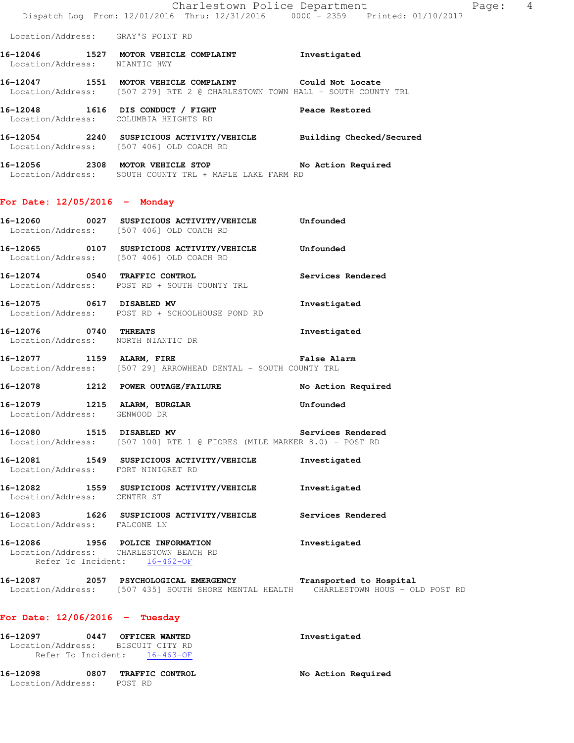|                                                                   | Dispatch Log From: 12/01/2016 Thru: 12/31/2016 0000 - 2359 Printed: 01/10/2017                                                                        | Page: 4<br>Charlestown Police Department |  |
|-------------------------------------------------------------------|-------------------------------------------------------------------------------------------------------------------------------------------------------|------------------------------------------|--|
| Location/Address: GRAY'S POINT RD                                 |                                                                                                                                                       |                                          |  |
| Location/Address: NIANTIC HWY                                     | 16-12046 1527 MOTOR VEHICLE COMPLAINT Threstigated                                                                                                    |                                          |  |
|                                                                   | 16-12047 1551 MOTOR VEHICLE COMPLAINT Could Not Locate<br>Location/Address: [507 279] RTE 2 @ CHARLESTOWN TOWN HALL - SOUTH COUNTY TRL                |                                          |  |
|                                                                   | 16-12048 1616 DIS CONDUCT / FIGHT THE Peace Restored<br>Location/Address: COLUMBIA HEIGHTS RD                                                         |                                          |  |
|                                                                   | 16-12054 2240 SUSPICIOUS ACTIVITY/VEHICLE Building Checked/Secured<br>Location/Address: [507 406] OLD COACH RD                                        |                                          |  |
|                                                                   | 16-12056 2308 MOTOR VEHICLE STOP No Action Required<br>Location/Address: SOUTH COUNTY TRL + MAPLE LAKE FARM RD                                        |                                          |  |
| For Date: $12/05/2016$ - Monday                                   |                                                                                                                                                       |                                          |  |
|                                                                   | 16-12060 0027 SUSPICIOUS ACTIVITY/VEHICLE Unfounded<br>Location/Address: [507 406] OLD COACH RD                                                       |                                          |  |
|                                                                   | 16-12065  0107  SUSPICIOUS ACTIVITY/VEHICLE Unfounded<br>Location/Address: [507 406] OLD COACH RD                                                     |                                          |  |
|                                                                   | 16-12074 0540 TRAFFIC CONTROL<br>Location/Address: POST RD + SOUTH COUNTY TRL                                                                         | Services Rendered                        |  |
| 16-12075 0617 DISABLED MV                                         | Location/Address: POST RD + SCHOOLHOUSE POND RD                                                                                                       | Investigated                             |  |
|                                                                   | 16-12076 0740 THREATS<br>Location/Address: NORTH NIANTIC DR                                                                                           | Investigated                             |  |
| 16-12077 1159 ALARM, FIRE                                         | Location/Address: [507 29] ARROWHEAD DENTAL - SOUTH COUNTY TRL                                                                                        | False Alarm                              |  |
|                                                                   | 16-12078 1212 POWER OUTAGE/FAILURE No Action Required                                                                                                 |                                          |  |
| 16-12079 1215 ALARM, BURGLAR<br>Location/Address: GENWOOD DR      |                                                                                                                                                       | Unfounded                                |  |
|                                                                   | 16-12080 1515 DISABLED MV<br>Location/Address: [507 100] RTE 1 @ FIORES (MILE MARKER 8.0) - POST RD                                                   | Services Rendered                        |  |
| Location/Address: FORT NINIGRET RD                                | 16-12081 1549 SUSPICIOUS ACTIVITY/VEHICLE                                                                                                             | Investigated                             |  |
| Location/Address: CENTER ST                                       | 16-12082 1559 SUSPICIOUS ACTIVITY/VEHICLE                                                                                                             | Investigated                             |  |
| Location/Address: FALCONE LN                                      | 16-12083 1626 SUSPICIOUS ACTIVITY/VEHICLE Services Rendered                                                                                           |                                          |  |
|                                                                   | 16-12086 1956 POLICE INFORMATION<br>Location/Address: CHARLESTOWN BEACH RD<br>Refer To Incident: 16-462-OF                                            | Investigated                             |  |
|                                                                   | 16-12087 2057 PSYCHOLOGICAL EMERGENCY Transported to Hospital<br>Location/Address: [507 435] SOUTH SHORE MENTAL HEALTH CHARLESTOWN HOUS - OLD POST RD |                                          |  |
| For Date: $12/06/2016$ - Tuesday                                  |                                                                                                                                                       |                                          |  |
| 16-12097 0447 OFFICER WANTED<br>Location/Address: BISCUIT CITY RD | Refer To Incident: 16-463-OF                                                                                                                          | Investigated                             |  |

**16-12098 0807 TRAFFIC CONTROL No Action Required**  Location/Address: POST RD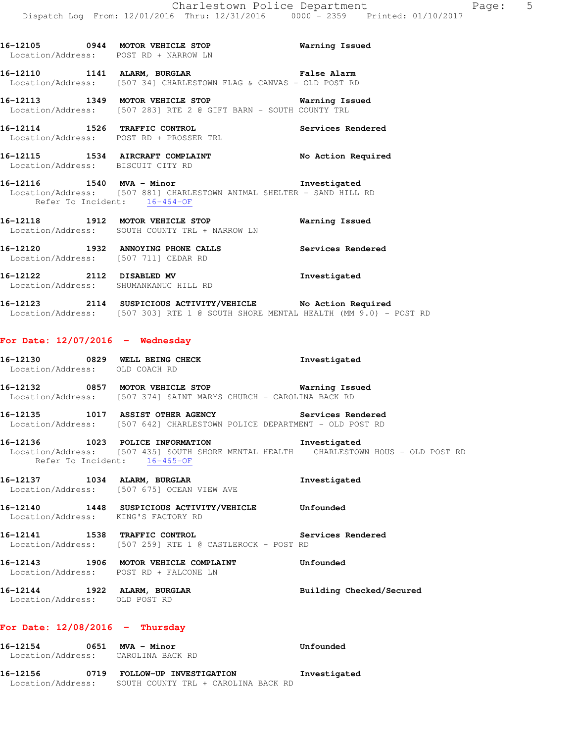**16-12105 0944 MOTOR VEHICLE STOP Warning Issued**  Location/Address: POST RD + NARROW LN **16-12110 1141 ALARM, BURGLAR False Alarm**  Location/Address: [507 34] CHARLESTOWN FLAG & CANVAS - OLD POST RD **16-12113 1349 MOTOR VEHICLE STOP Warning Issued**  Location/Address: [507 283] RTE 2 @ GIFT BARN - SOUTH COUNTY TRL **16-12114 1526 TRAFFIC CONTROL Services Rendered**  Location/Address: POST RD + PROSSER TRL **16-12115 1534 AIRCRAFT COMPLAINT No Action Required**  Location/Address: BISCUIT CITY RD **16-12116 1540 MVA - Minor Investigated**  Location/Address: [507 881] CHARLESTOWN ANIMAL SHELTER - SAND HILL RD Refer To Incident: 16-464-OF **16-12118 1912 MOTOR VEHICLE STOP Warning Issued**  Location/Address: SOUTH COUNTY TRL + NARROW LN **16-12120 1932 ANNOYING PHONE CALLS Services Rendered**  Location/Address: [507 711] CEDAR RD **16-12122 2112 DISABLED MV Investigated**  Location/Address: SHUMANKANUC HILL RD **16-12123 2114 SUSPICIOUS ACTIVITY/VEHICLE No Action Required**  Location/Address: [507 303] RTE 1 @ SOUTH SHORE MENTAL HEALTH (MM 9.0) - POST RD **For Date: 12/07/2016 - Wednesday 16-12130 0829 WELL BEING CHECK Investigated**  Location/Address: OLD COACH RD **16-12132 0857 MOTOR VEHICLE STOP Warning Issued**  Location/Address: [507 374] SAINT MARYS CHURCH - CAROLINA BACK RD **16-12135 1017 ASSIST OTHER AGENCY Services Rendered**  Location/Address: [507 642] CHARLESTOWN POLICE DEPARTMENT - OLD POST RD **16-12136 1023 POLICE INFORMATION Investigated**  Location/Address: [507 435] SOUTH SHORE MENTAL HEALTH CHARLESTOWN HOUS - OLD POST RD Refer To Incident: 16-465-OF **16-12137 1034 ALARM, BURGLAR Investigated**  Location/Address: [507 675] OCEAN VIEW AVE **16-12140 1448 SUSPICIOUS ACTIVITY/VEHICLE Unfounded**  Location/Address: KING'S FACTORY RD **16-12141 1538 TRAFFIC CONTROL Services Rendered**  Location/Address: [507 259] RTE 1 @ CASTLEROCK - POST RD **16-12143 1906 MOTOR VEHICLE COMPLAINT Unfounded**  Location/Address: POST RD + FALCONE LN 16-12144 1922 ALARM, BURGLAR **Building Checked/Secured**  Location/Address: OLD POST RD **For Date: 12/08/2016 - Thursday 16-12154 0651 MVA - Minor Unfounded**  Location/Address: CAROLINA BACK RD

**16-12156 0719 FOLLOW-UP INVESTIGATION Investigated**  Location/Address: SOUTH COUNTY TRL + CAROLINA BACK RD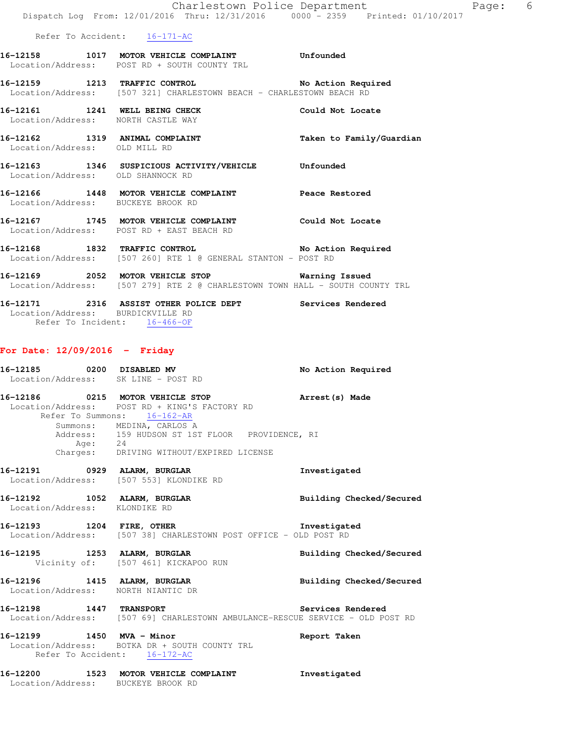Refer To Accident: 16-171-AC

| 16–12158          | 1017 | MOTOR VEHICLE COMPLAINT                            | Unfounded          |
|-------------------|------|----------------------------------------------------|--------------------|
| Location/Address: |      | POST RD + SOUTH COUNTY TRI                         |                    |
| 16–12159          | 1213 | <b>TRAFFIC CONTROL</b>                             | No Action Required |
| Location/Address: |      | [507 321] CHARLESTOWN BEACH - CHARLESTOWN BEACH RD |                    |

16-12161 1241 WELL BEING CHECK Could Not Locate

- Location/Address: NORTH CASTLE WAY **16-12162 1319 ANIMAL COMPLAINT Taken to Family/Guardian**  Location/Address: OLD MILL RD **16-12163 1346 SUSPICIOUS ACTIVITY/VEHICLE Unfounded**  Location/Address: OLD SHANNOCK RD
- **16-12166 1448 MOTOR VEHICLE COMPLAINT Peace Restored**  Location/Address: BUCKEYE BROOK RD
- **16-12167 1745 MOTOR VEHICLE COMPLAINT Could Not Locate**  Location/Address: POST RD + EAST BEACH RD
- **16-12168 1832 TRAFFIC CONTROL No Action Required**  Location/Address: [507 260] RTE 1 @ GENERAL STANTON - POST RD
- **16-12169 2052 MOTOR VEHICLE STOP Warning Issued**  Location/Address: [507 279] RTE 2 @ CHARLESTOWN TOWN HALL - SOUTH COUNTY TRL
- **16-12171 2316 ASSIST OTHER POLICE DEPT Services Rendered**  Location/Address: BURDICKVILLE RD Refer To Incident: 16-466-OF

### **For Date: 12/09/2016 - Friday**

|                               | 16-12185 0200 DISABLED MV<br>Location/Address: SK LINE - POST RD                                                                    | No Action Required              |
|-------------------------------|-------------------------------------------------------------------------------------------------------------------------------------|---------------------------------|
|                               | 16-12186 0215 MOTOR VEHICLE STOP<br>Location/Address: POST RD + KING'S FACTORY RD<br>Refer To Summons: 16-162-AR                    | Arrest(s) Made                  |
|                               | Summons: MEDINA, CARLOS A<br>Address: 159 HUDSON ST 1ST FLOOR PROVIDENCE, RI<br>Age: 24<br>Charges: DRIVING WITHOUT/EXPIRED LICENSE |                                 |
|                               | 16-12191 0929 ALARM, BURGLAR<br>Location/Address: [507 553] KLONDIKE RD                                                             | Investigated                    |
| Location/Address: KLONDIKE RD | 16-12192 1052 ALARM, BURGLAR                                                                                                        | <b>Building Checked/Secured</b> |
|                               | 16-12193 1204 FIRE, OTHER 10 Investigated<br>Location/Address: [507 38] CHARLESTOWN POST OFFICE - OLD POST RD                       |                                 |
|                               | 16-12195 1253 ALARM, BURGLAR 1988 Building Checked/Secured<br>Vicinity of: [507 461] KICKAPOO RUN                                   |                                 |
|                               | 16-12196 1415 ALARM, BURGLAR<br>Location/Address: NORTH NIANTIC DR                                                                  | Building Checked/Secured        |
|                               | 16-12198 1447 TRANSPORT Services Rendered<br>Location/Address: [507 69] CHARLESTOWN AMBULANCE-RESCUE SERVICE - OLD POST RD          |                                 |
| 16-12199 1450 MVA - Minor     | Location/Address: BOTKA DR + SOUTH COUNTY TRL<br>Refer To Accident: 16-172-AC                                                       | Report Taken                    |
|                               | 16-12200 1523 MOTOR VEHICLE COMPLAINT<br>Location/Address: BUCKEYE BROOK RD                                                         | Investigated                    |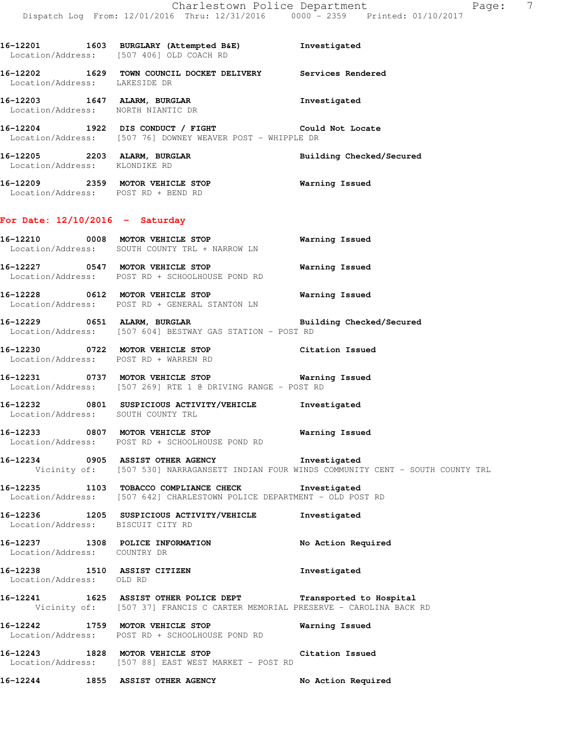**16-12201 1603 BURGLARY (Attempted B&E) Investigated**  Location/Address: [507 406] OLD COACH RD **16-12202 1629 TOWN COUNCIL DOCKET DELIVERY Services Rendered**  Location/Address: LAKESIDE DR **16-12203 1647 ALARM, BURGLAR Investigated**  Location/Address: NORTH NIANTIC DR **16-12204 1922 DIS CONDUCT / FIGHT Could Not Locate**  Location/Address: [507 76] DOWNEY WEAVER POST - WHIPPLE DR **16-12205 2203 ALARM, BURGLAR Building Checked/Secured**  Location/Address: KLONDIKE RD **16-12209 2359 MOTOR VEHICLE STOP Warning Issued**  Location/Address: POST RD + BEND RD **For Date: 12/10/2016 - Saturday 16-12210 0008 MOTOR VEHICLE STOP Warning Issued**  Location/Address: SOUTH COUNTY TRL + NARROW LN **16-12227 0547 MOTOR VEHICLE STOP Warning Issued**  Location/Address: POST RD + SCHOOLHOUSE POND RD **16-12228 0612 MOTOR VEHICLE STOP Warning Issued**  Location/Address: POST RD + GENERAL STANTON LN **16-12229 0651 ALARM, BURGLAR Building Checked/Secured**  Location/Address: [507 604] BESTWAY GAS STATION - POST RD **16-12230 0722 MOTOR VEHICLE STOP Citation Issued**  Location/Address: POST RD + WARREN RD **16-12231 0737 MOTOR VEHICLE STOP Warning Issued**  Location/Address: [507 269] RTE 1 @ DRIVING RANGE - POST RD

**16-12232 0801 SUSPICIOUS ACTIVITY/VEHICLE Investigated**  Location/Address: SOUTH COUNTY TRL

**16-12233 0807 MOTOR VEHICLE STOP Warning Issued**  Location/Address: POST RD + SCHOOLHOUSE POND RD

**16-12234 0905 ASSIST OTHER AGENCY Investigated**  Vicinity of: [507 530] NARRAGANSETT INDIAN FOUR WINDS COMMUNITY CENT - SOUTH COUNTY TRL

**16-12235 1103 TOBACCO COMPLIANCE CHECK Investigated**  Location/Address: [507 642] CHARLESTOWN POLICE DEPARTMENT - OLD POST RD

**16-12236 1205 SUSPICIOUS ACTIVITY/VEHICLE Investigated**  Location/Address: BISCUIT CITY RD

**16-12237 1308 POLICE INFORMATION No Action Required**  Location/Address: COUNTRY DR

**16-12238 1510 ASSIST CITIZEN Investigated**  Location/Address: OLD RD

**16-12241 1625 ASSIST OTHER POLICE DEPT Transported to Hospital**  Vicinity of: [507 37] FRANCIS C CARTER MEMORIAL PRESERVE - CAROLINA BACK RD

**16-12242 1759 MOTOR VEHICLE STOP Warning Issued**  Location/Address: POST RD + SCHOOLHOUSE POND RD

**16-12243 1828 MOTOR VEHICLE STOP Citation Issued**  Location/Address: [507 88] EAST WEST MARKET - POST RD

**16-12244 1855 ASSIST OTHER AGENCY No Action Required**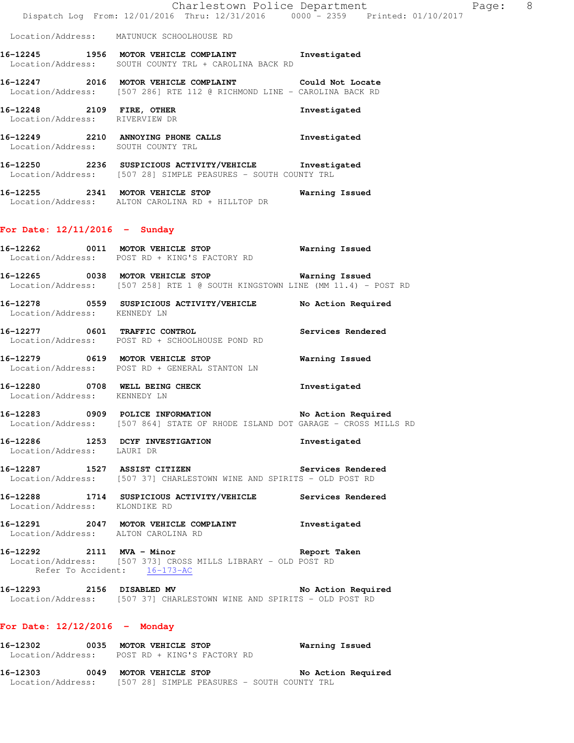|                                                             | Charlestown Police Department<br>Dispatch Log From: 12/01/2016 Thru: 12/31/2016 0000 - 2359 Printed: 01/10/2017                                     |                       |
|-------------------------------------------------------------|-----------------------------------------------------------------------------------------------------------------------------------------------------|-----------------------|
|                                                             | Location/Address: MATUNUCK SCHOOLHOUSE RD                                                                                                           |                       |
|                                                             | 16-12245 1956 MOTOR VEHICLE COMPLAINT Investigated<br>Location/Address: SOUTH COUNTY TRL + CAROLINA BACK RD                                         |                       |
|                                                             | 16-12247 2016 MOTOR VEHICLE COMPLAINT Could Not Locate<br>Location/Address: [507 286] RTE 112 @ RICHMOND LINE - CAROLINA BACK RD                    |                       |
| 16-12248 2109 FIRE, OTHER<br>Location/Address: RIVERVIEW DR |                                                                                                                                                     | Investigated          |
|                                                             | 16-12249 2210 ANNOYING PHONE CALLS Investigated<br>Location/Address: SOUTH COUNTY TRL                                                               |                       |
|                                                             | 16-12250 2236 SUSPICIOUS ACTIVITY/VEHICLE Investigated<br>Location/Address: [507 28] SIMPLE PEASURES - SOUTH COUNTY TRL                             |                       |
|                                                             | 16-12255 2341 MOTOR VEHICLE STOP 6 Warning Issued<br>Location/Address: ALTON CAROLINA RD + HILLTOP DR                                               |                       |
| For Date: $12/11/2016$ - Sunday                             |                                                                                                                                                     |                       |
|                                                             | 16-12262 0011 MOTOR VEHICLE STOP 6 Warning Issued<br>Location/Address: POST RD + KING'S FACTORY RD                                                  |                       |
|                                                             | 16-12265 0038 MOTOR VEHICLE STOP <b>Warning Issued</b><br>Location/Address: [507 258] RTE 1 @ SOUTH KINGSTOWN LINE (MM 11.4) - POST RD              |                       |
| Location/Address: KENNEDY LN                                | 16-12278 0559 SUSPICIOUS ACTIVITY/VEHICLE No Action Required                                                                                        |                       |
|                                                             | 16-12277 0601 TRAFFIC CONTROL<br>Location/Address: POST RD + SCHOOLHOUSE POND RD                                                                    | Services Rendered     |
|                                                             | 16-12279 0619 MOTOR VEHICLE STOP<br>Location/Address: POST RD + GENERAL STANTON LN                                                                  | <b>Warning Issued</b> |
| Location/Address: KENNEDY LN                                | 16-12280 0708 WELL BEING CHECK                                                                                                                      | Investigated          |
|                                                             | 16-12283 0909 POLICE INFORMATION No Action Required<br>Location/Address: [507 864] STATE OF RHODE ISLAND DOT GARAGE - CROSS MILLS RD                |                       |
| Location/Address: LAURI DR                                  | 16-12286 1253 DCYF INVESTIGATION                                                                                                                    | Investigated          |
|                                                             | 16-12287 1527 ASSIST CITIZEN<br>Location/Address: [507 37] CHARLESTOWN WINE AND SPIRITS - OLD POST RD                                               | Services Rendered     |
| Location/Address: KLONDIKE RD                               | 16-12288 1714 SUSPICIOUS ACTIVITY/VEHICLE Services Rendered                                                                                         |                       |
|                                                             | 16-12291 2047 MOTOR VEHICLE COMPLAINT 1nvestigated<br>Location/Address: ALTON CAROLINA RD                                                           |                       |
|                                                             | 16-12292 2111 MVA - Minor Changes and Report Taken<br>Location/Address: [507 373] CROSS MILLS LIBRARY - OLD POST RD<br>Refer To Accident: 16-173-AC |                       |
|                                                             | 16-12293 2156 DISABLED MV<br>Location/Address: [507 37] CHARLESTOWN WINE AND SPIRITS - OLD POST RD                                                  | No Action Required    |
| For Date: $12/12/2016$ - Monday                             |                                                                                                                                                     |                       |
|                                                             | 16-12302 0035 MOTOR VEHICLE STOP<br>Location/Address: POST RD + KING'S FACTORY RD                                                                   | Warning Issued        |

Page: 8

**16-12303 0049 MOTOR VEHICLE STOP No Action Required**  Location/Address: [507 28] SIMPLE PEASURES - SOUTH COUNTY TRL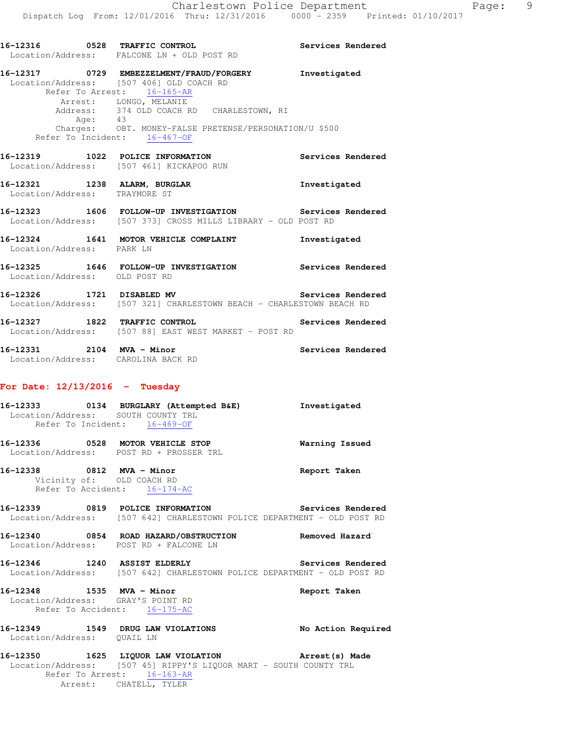**16-12317 0729 EMBEZZELMENT/FRAUD/FORGERY Investigated**  Location/Address: [507 406] OLD COACH RD Refer To Arrest: 16-165-AR Arrest: LONGO, MELANIE Address: 374 OLD COACH RD CHARLESTOWN, RI Age: 43 Charges: OBT. MONEY-FALSE PRETENSE/PERSONATION/U \$500 Refer To Incident: 16-467-OF **16-12319 1022 POLICE INFORMATION Services Rendered**  Location/Address: [507 461] KICKAPOO RUN **16-12321 1238 ALARM, BURGLAR Investigated**  Location/Address: TRAYMORE ST

**16-12323 1606 FOLLOW-UP INVESTIGATION Services Rendered**  Location/Address: [507 373] CROSS MILLS LIBRARY - OLD POST RD

**16-12324 1641 MOTOR VEHICLE COMPLAINT Investigated**  Location/Address: PARK LN **16-12325 1646 FOLLOW-UP INVESTIGATION Services Rendered**  Location/Address: OLD POST RD

**16-12326 1721 DISABLED MV Services Rendered**  Location/Address: [507 321] CHARLESTOWN BEACH - CHARLESTOWN BEACH RD

**16-12327 1822 TRAFFIC CONTROL Services Rendered**  Location/Address: [507 88] EAST WEST MARKET - POST RD

**16-12331 2104 MVA - Minor Services Rendered**  Location/Address: CAROLINA BACK RD

## **For Date: 12/13/2016 - Tuesday**

|                                                                | 16-12333 0134 BURGLARY (Attempted B&E) Investigated<br>Location/Address: SOUTH COUNTY TRL<br>Refer To Incident: 16-469-OF                                                       |                    |
|----------------------------------------------------------------|---------------------------------------------------------------------------------------------------------------------------------------------------------------------------------|--------------------|
|                                                                | 16-12336 0528 MOTOR VEHICLE STOP<br>Location/Address: POST RD + PROSSER TRL                                                                                                     | Warning Issued     |
| 16-12338 0812 MVA - Minor                                      | Vicinity of: OLD COACH RD<br>Refer To Accident: 16-174-AC                                                                                                                       | Report Taken       |
|                                                                | 16-12339 0819 POLICE INFORMATION Services Rendered<br>Location/Address: [507 642] CHARLESTOWN POLICE DEPARTMENT - OLD POST RD                                                   |                    |
|                                                                | 16-12340 0854 ROAD HAZARD/OBSTRUCTION Removed Hazard<br>Location/Address: POST RD + FALCONE LN                                                                                  |                    |
|                                                                | 16-12346 1240 ASSIST ELDERLY Services Rendered<br>Location/Address: [507 642] CHARLESTOWN POLICE DEPARTMENT - OLD POST RD                                                       |                    |
| 16-12348 1535 MVA - Minor<br>Location/Address: GRAY'S POINT RD | Refer To Accident: 16-175-AC                                                                                                                                                    | Report Taken       |
| Location/Address: QUAIL LN                                     | 16-12349 1549 DRUG LAW VIOLATIONS                                                                                                                                               | No Action Required |
|                                                                | 16-12350 1625 LIQUOR LAW VIOLATION Arrest (s) Made<br>Location/Address: [507 45] RIPPY'S LIQUOR MART - SOUTH COUNTY TRL<br>Refer To Arrest: 16-163-AR<br>Arrest: CHATELL, TYLER |                    |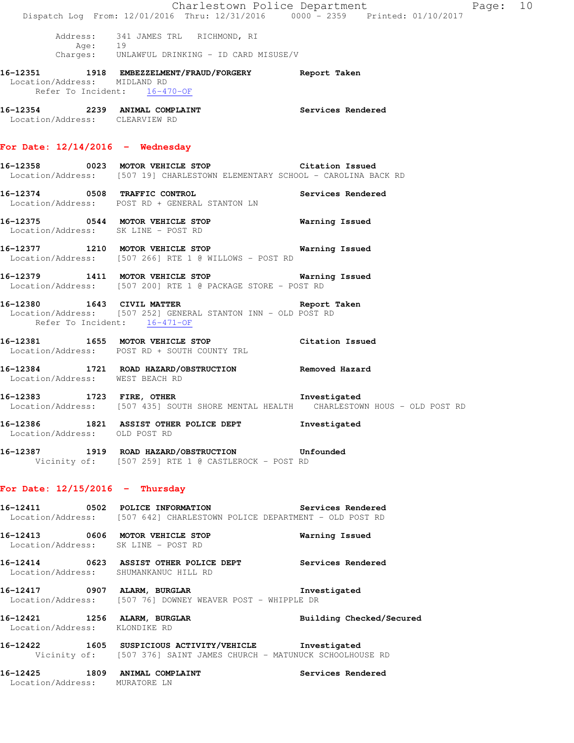|                                       | Dispatch Log From: 12/01/2016 Thru: 12/31/2016 0000 - 2359 Printed: 01/10/2017                                                                    | Charlestown Police Department<br>Page: 10 |  |
|---------------------------------------|---------------------------------------------------------------------------------------------------------------------------------------------------|-------------------------------------------|--|
|                                       | Address: 341 JAMES TRL RICHMOND, RI<br>Age: 19<br>Charges: UNLAWFUL DRINKING - ID CARD MISUSE/V                                                   |                                           |  |
| Location/Address: MIDLAND RD          | 16-12351 1918 EMBEZZELMENT/FRAUD/FORGERY Report Taken<br>Refer To Incident: 16-470-OF                                                             |                                           |  |
| Location/Address: CLEARVIEW RD        | 16-12354 2239 ANIMAL COMPLAINT Services Rendered                                                                                                  |                                           |  |
| For Date: $12/14/2016$ - Wednesday    |                                                                                                                                                   |                                           |  |
|                                       | 16-12358 0023 MOTOR VEHICLE STOP Citation Issued<br>Location/Address: [507 19] CHARLESTOWN ELEMENTARY SCHOOL - CAROLINA BACK RD                   |                                           |  |
|                                       | 16-12374 0508 TRAFFIC CONTROL<br>Location/Address: POST RD + GENERAL STANTON LN                                                                   | Services Rendered                         |  |
|                                       | 16-12375 0544 MOTOR VEHICLE STOP<br>Location/Address: SK LINE - POST RD                                                                           | Warning Issued                            |  |
|                                       | 16-12377 1210 MOTOR VEHICLE STOP Warning Issued<br>Location/Address: [507 266] RTE 1 @ WILLOWS - POST RD                                          |                                           |  |
|                                       | 16-12379 1411 MOTOR VEHICLE STOP 6 Warning Issued<br>Location/Address: [507 200] RTE 1 @ PACKAGE STORE - POST RD                                  |                                           |  |
|                                       | 16-12380 1643 CIVIL MATTER 16-12380 Report Taken<br>Location/Address: [507 252] GENERAL STANTON INN - OLD POST RD<br>Refer To Incident: 16-471-OF |                                           |  |
|                                       | 16-12381 1655 MOTOR VEHICLE STOP<br>Location/Address: POST RD + SOUTH COUNTY TRL                                                                  | Citation Issued                           |  |
| Location/Address: WEST BEACH RD       | 16-12384 1721 ROAD HAZARD/OBSTRUCTION Removed Hazard                                                                                              |                                           |  |
|                                       | -<br>16-12383 1723 FIRE, OTHER 1997 1nvestigated<br>Location/Address: [507 435] SOUTH SHORE MENTAL HEALTH CHARLESTOWN HOUS - OLD POST RD          |                                           |  |
| Location/Address: OLD POST RD         | 16-12386 1821 ASSIST OTHER POLICE DEPT Investigated                                                                                               |                                           |  |
|                                       | 16-12387 1919 ROAD HAZARD/OBSTRUCTION Unfounded<br>Vicinity of: [507 259] RTE 1 @ CASTLEROCK - POST RD                                            |                                           |  |
| For Date: $12/15/2016$ - Thursday     |                                                                                                                                                   |                                           |  |
|                                       | 16-12411  0502 POLICE INFORMATION Services Rendered<br>Location/Address: [507 642] CHARLESTOWN POLICE DEPARTMENT - OLD POST RD                    |                                           |  |
|                                       | 16-12413 0606 MOTOR VEHICLE STOP<br>Location/Address: SK LINE - POST RD                                                                           | Warning Issued                            |  |
| Location/Address: SHUMANKANUC HILL RD | 16-12414 0623 ASSIST OTHER POLICE DEPT Services Rendered                                                                                          |                                           |  |
|                                       | 16-12417 0907 ALARM, BURGLAR 10 Investigated<br>Location/Address: [507 76] DOWNEY WEAVER POST - WHIPPLE DR                                        |                                           |  |
| Location/Address: KLONDIKE RD         | 16-12421 1256 ALARM, BURGLAR                                                                                                                      | Building Checked/Secured                  |  |
|                                       | 16-12422 1605 SUSPICIOUS ACTIVITY/VEHICLE Investigated<br>Vicinity of: [507 376] SAINT JAMES CHURCH - MATUNUCK SCHOOLHOUSE RD                     |                                           |  |
| Location/Address: MURATORE LN         | 16-12425 1809 ANIMAL COMPLAINT                                                                                                                    | Services Rendered                         |  |
|                                       |                                                                                                                                                   |                                           |  |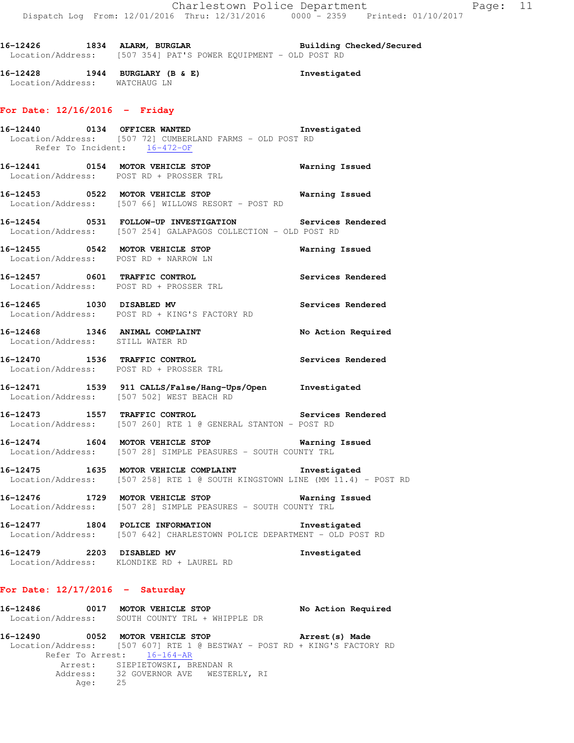16-12426 1834 ALARM, BURGLAR **Building Checked/Secured** Location/Address: [507 354] PAT'S POWER EQUIPMENT - OLD POST RD

**16-12428 1944 BURGLARY (B & E) Investigated**  Location/Address: WATCHAUG LN

#### **For Date: 12/16/2016 - Friday**

- **16-12440 0134 OFFICER WANTED Investigated**  Location/Address: [507 72] CUMBERLAND FARMS - OLD POST RD Refer To Incident: 16-472-OF
- **16-12441 0154 MOTOR VEHICLE STOP Warning Issued**  Location/Address: POST RD + PROSSER TRL
- **16-12453 0522 MOTOR VEHICLE STOP Warning Issued**  Location/Address: [507 66] WILLOWS RESORT - POST RD
- **16-12454 0531 FOLLOW-UP INVESTIGATION Services Rendered**  Location/Address: [507 254] GALAPAGOS COLLECTION - OLD POST RD
- **16-12455 0542 MOTOR VEHICLE STOP Warning Issued**  Location/Address: POST RD + NARROW LN
- **16-12457 0601 TRAFFIC CONTROL Services Rendered**  Location/Address: POST RD + PROSSER TRL
- **16-12465 1030 DISABLED MV Services Rendered**  Location/Address: POST RD + KING'S FACTORY RD
- 16-12468 1346 ANIMAL COMPLAINT No Action Required Location/Address: STILL WATER RD
- **16-12470 1536 TRAFFIC CONTROL Services Rendered**  Location/Address: POST RD + PROSSER TRL
- **16-12471 1539 911 CALLS/False/Hang-Ups/Open Investigated**  Location/Address: [507 502] WEST BEACH RD
- **16-12473 1557 TRAFFIC CONTROL Services Rendered**  Location/Address: [507 260] RTE 1 @ GENERAL STANTON - POST RD
- **16-12474 1604 MOTOR VEHICLE STOP Warning Issued**  Location/Address: [507 28] SIMPLE PEASURES - SOUTH COUNTY TRL
- **16-12475 1635 MOTOR VEHICLE COMPLAINT Investigated**  Location/Address: [507 258] RTE 1 @ SOUTH KINGSTOWN LINE (MM 11.4) - POST RD
- **16-12476 1729 MOTOR VEHICLE STOP Warning Issued**  Location/Address: [507 28] SIMPLE PEASURES - SOUTH COUNTY TRL
- **16-12477 1804 POLICE INFORMATION Investigated**  Location/Address: [507 642] CHARLESTOWN POLICE DEPARTMENT - OLD POST RD
- **16-12479 2203 DISABLED MV Investigated**  Location/Address: KLONDIKE RD + LAUREL RD

#### **For Date: 12/17/2016 - Saturday**

| 16-12486          | 0017 MOTOR VEHICLE STOP       | No Action Required |
|-------------------|-------------------------------|--------------------|
| Location/Address: | SOUTH COUNTY TRL + WHIPPLE DR |                    |

**16-12490 0052 MOTOR VEHICLE STOP Arrest(s) Made**  Location/Address: [507 607] RTE 1 @ BESTWAY - POST RD + KING'S FACTORY RD Refer To Arrest: 16-164-AR Arrest: SIEPIETOWSKI, BRENDAN R 32 GOVERNOR AVE WESTERLY, RI<br>25 Address:<br>Age: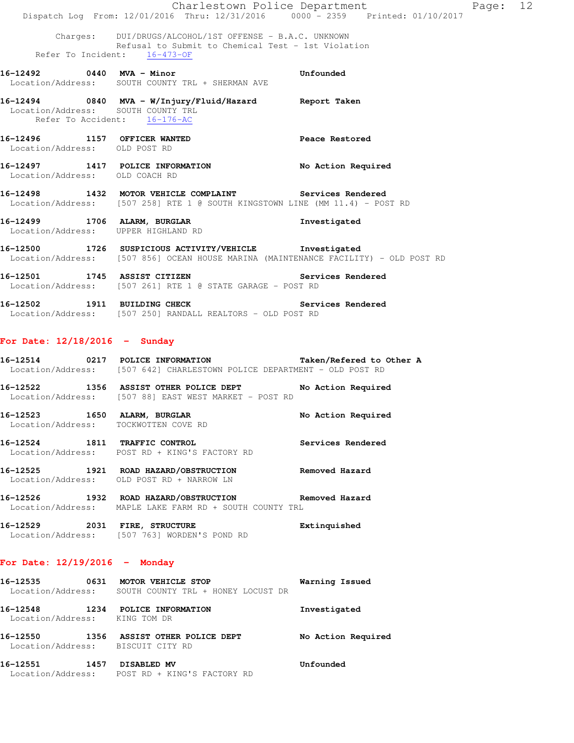|                                                                      | Charlestown Police Department<br>Dispatch Log From: 12/01/2016 Thru: 12/31/2016 0000 - 2359 Printed: 01/10/2017                               | Page: 12           |
|----------------------------------------------------------------------|-----------------------------------------------------------------------------------------------------------------------------------------------|--------------------|
|                                                                      | Charges: DUI/DRUGS/ALCOHOL/1ST OFFENSE - B.A.C. UNKNOWN                                                                                       |                    |
|                                                                      | Refusal to Submit to Chemical Test - 1st Violation<br>Refer To Incident: 16-473-OF                                                            |                    |
|                                                                      | 16-12492 0440 MVA - Minor<br>Location/Address: SOUTH COUNTY TRL + SHERMAN AVE                                                                 | Unfounded          |
| Location/Address: SOUTH COUNTY TRL                                   | 16-12494 0840 MVA - W/Injury/Fluid/Hazard Report Taken<br>Refer To Accident: 16-176-AC                                                        |                    |
| 16-12496 1157 OFFICER WANTED<br>Location/Address: OLD POST RD        |                                                                                                                                               | Peace Restored     |
| Location/Address: OLD COACH RD                                       | 16-12497 1417 POLICE INFORMATION No Action Required                                                                                           |                    |
|                                                                      | 16-12498 1432 MOTOR VEHICLE COMPLAINT Services Rendered<br>Location/Address: [507 258] RTE 1 @ SOUTH KINGSTOWN LINE (MM 11.4) - POST RD       |                    |
| Location/Address: UPPER HIGHLAND RD                                  | 16-12499 1706 ALARM, BURGLAR                                                                                                                  | Investigated       |
|                                                                      | 16-12500 1726 SUSPICIOUS ACTIVITY/VEHICLE Investigated<br>Location/Address: [507 856] OCEAN HOUSE MARINA (MAINTENANCE FACILITY) - OLD POST RD |                    |
|                                                                      | 16-12501 1745 ASSIST CITIZEN Services Rendered<br>Location/Address: [507 261] RTE 1 @ STATE GARAGE - POST RD                                  |                    |
|                                                                      | 16-12502 1911 BUILDING CHECK<br>Location/Address: [507 250] RANDALL REALTORS - OLD POST RD                                                    | Services Rendered  |
| For Date: $12/18/2016$ - Sunday                                      |                                                                                                                                               |                    |
|                                                                      | 16-12514 0217 POLICE INFORMATION Taken/Refered to Other A<br>Location/Address: [507 642] CHARLESTOWN POLICE DEPARTMENT - OLD POST RD          |                    |
|                                                                      | 16-12522 1356 ASSIST OTHER POLICE DEPT<br>Location/Address: [507 88] EAST WEST MARKET - POST RD                                               | No Action Required |
| 16-12523 1650 ALARM, BURGLAR<br>Location/Address: TOCKWOTTEN COVE RD |                                                                                                                                               | No Action Required |
| 16-12524 1811 TRAFFIC CONTROL                                        | Location/Address: POST RD + KING'S FACTORY RD                                                                                                 | Services Rendered  |
|                                                                      | 16-12525 1921 ROAD HAZARD/OBSTRUCTION<br>Location/Address: OLD POST RD + NARROW LN                                                            | Removed Hazard     |
|                                                                      | 16-12526 1932 ROAD HAZARD/OBSTRUCTION Removed Hazard<br>Location/Address: MAPLE LAKE FARM RD + SOUTH COUNTY TRL                               |                    |
| 16-12529 2031 FIRE, STRUCTURE                                        | Location/Address: [507 763] WORDEN'S POND RD                                                                                                  | Extinquished       |

## **For Date: 12/19/2016 - Monday**

| 16–12535<br>Location/Address: | 0631 | MOTOR VEHICLE STOP<br>SOUTH COUNTY TRL + HONEY LOCUST DR | Warning Issued     |
|-------------------------------|------|----------------------------------------------------------|--------------------|
| 16–12548<br>Location/Address: | 1234 | POLICE INFORMATION<br>KING TOM DR                        | Investigated       |
| 16–12550<br>Location/Address: | 1356 | ASSIST OTHER POLICE DEPT<br>BISCUIT CITY RD              | No Action Required |
| 16-12551<br>Location/Address: | 1457 | <b>DISABLED MV</b><br>POST RD + KING'S FACTORY RD        | Unfounded          |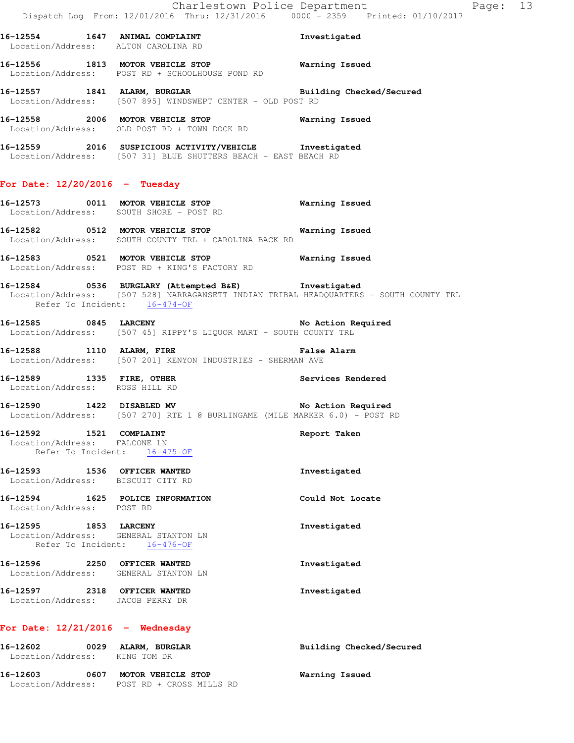|                                                                                               | Dispatch Log From: 12/01/2016 Thru: 12/31/2016 0000 - 2359 Printed: 01/10/2017                                                                | Charlestown Police Department Page: 13 |  |
|-----------------------------------------------------------------------------------------------|-----------------------------------------------------------------------------------------------------------------------------------------------|----------------------------------------|--|
| Location/Address: ALTON CAROLINA RD                                                           |                                                                                                                                               |                                        |  |
|                                                                                               | 16-12556 1813 MOTOR VEHICLE STOP <b>Warning Issued</b><br>Location/Address: POST RD + SCHOOLHOUSE POND RD                                     |                                        |  |
|                                                                                               | 16-12557 1841 ALARM, BURGLAR BURGER Building Checked/Secured Location/Address: [507 895] WINDSWEPT CENTER - OLD POST RD                       |                                        |  |
|                                                                                               | 16-12558 2006 MOTOR VEHICLE STOP <b>Warning Issued</b><br>Location/Address: OLD POST RD + TOWN DOCK RD                                        |                                        |  |
|                                                                                               | 16-12559 2016 SUSPICIOUS ACTIVITY/VEHICLE Investigated<br>Location/Address: [507 31] BLUE SHUTTERS BEACH - EAST BEACH RD                      |                                        |  |
| For Date: $12/20/2016$ - Tuesday                                                              |                                                                                                                                               |                                        |  |
|                                                                                               | 16-12573 0011 MOTOR VEHICLE STOP Warning Issued<br>Location/Address: SOUTH SHORE - POST RD                                                    |                                        |  |
|                                                                                               | Location/Address: SOUTH COUNTY TRL + CAROLINA BACK RD                                                                                         |                                        |  |
|                                                                                               | Location/Address: POST RD + KING'S FACTORY RD                                                                                                 |                                        |  |
| Refer To Incident: 16-474-OF                                                                  | 16-12584 0536 BURGLARY (Attempted B&E) Investigated<br>Location/Address: [507 528] NARRAGANSETT INDIAN TRIBAL HEADQUARTERS - SOUTH COUNTY TRL |                                        |  |
|                                                                                               | Location/Address: [507 45] RIPPY'S LIQUOR MART - SOUTH COUNTY TRL                                                                             |                                        |  |
|                                                                                               | 16-12588 1110 ALARM, FIRE <b>1898</b> False Alarm<br>Location/Address: [507 201] KENYON INDUSTRIES - SHERMAN AVE                              |                                        |  |
| 16-12589 1335 FIRE, OTHER<br>Location/Address: ROSS HILL RD                                   |                                                                                                                                               | Services Rendered                      |  |
|                                                                                               | 16-12590 1422 DISABLED MV No Action Required<br>Location/Address: [507 270] RTE 1 @ BURLINGAME (MILE MARKER 6.0) - POST RD                    |                                        |  |
| 16-12592 1521 COMPLAINT<br>Location/Address: FALCONE LN<br>Refer To Incident: 16-475-OF       |                                                                                                                                               | Report Taken                           |  |
| 16-12593 1536 OFFICER WANTED<br>Location/Address: BISCUIT CITY RD                             |                                                                                                                                               | Investigated                           |  |
| 16-12594 1625 POLICE INFORMATION<br>Location/Address: POST RD                                 |                                                                                                                                               | Could Not Locate                       |  |
| 16-12595 1853 LARCENY<br>Location/Address: GENERAL STANTON LN<br>Refer To Incident: 16-476-OF |                                                                                                                                               | Investigated                           |  |
| 16-12596 2250 OFFICER WANTED<br>Location/Address: GENERAL STANTON LN                          |                                                                                                                                               | Investigated                           |  |
| 16-12597 2318 OFFICER WANTED<br>Location/Address: JACOB PERRY DR                              |                                                                                                                                               | Investigated                           |  |
| For Date: $12/21/2016$ - Wednesday                                                            |                                                                                                                                               |                                        |  |
| 16-12602 0029 ALARM, BURGLAR<br>Location/Address: KING TOM DR                                 |                                                                                                                                               | Building Checked/Secured               |  |
|                                                                                               | 16-12603 0607 MOTOR VEHICLE STOP<br>Location/Address: POST RD + CROSS MILLS RD                                                                | Warning Issued                         |  |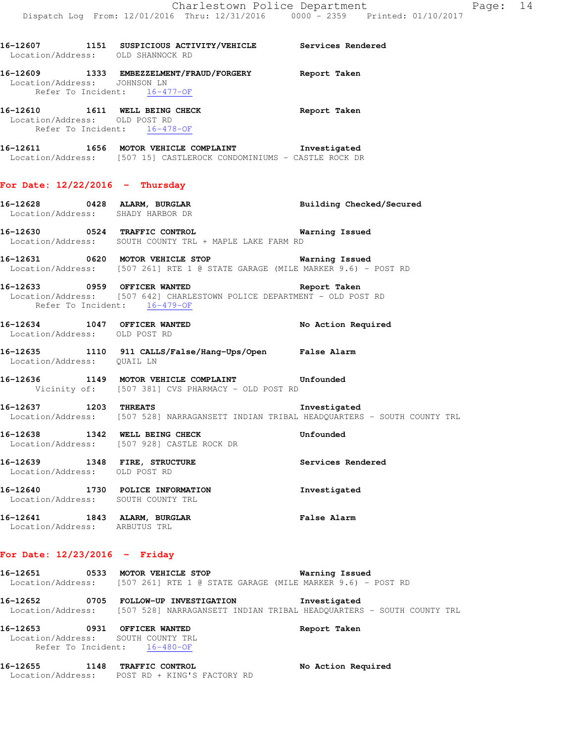**16-12607 1151 SUSPICIOUS ACTIVITY/VEHICLE Services Rendered**  Location/Address: OLD SHANNOCK RD **16-12609 1333 EMBEZZELMENT/FRAUD/FORGERY Report Taken**  Location/Address: JOHNSON LN Refer To Incident: 16-477-OF **16-12610 1611 WELL BEING CHECK Report Taken**  Location/Address: OLD POST RD Refer To Incident: 16-478-OF **16-12611 1656 MOTOR VEHICLE COMPLAINT Investigated**  Location/Address: [507 15] CASTLEROCK CONDOMINIUMS - CASTLE ROCK DR **For Date: 12/22/2016 - Thursday 16-12628 0428 ALARM, BURGLAR Building Checked/Secured**  Location/Address: SHADY HARBOR DR **16-12630 0524 TRAFFIC CONTROL Warning Issued**  Location/Address: SOUTH COUNTY TRL + MAPLE LAKE FARM RD **16-12631 0620 MOTOR VEHICLE STOP Warning Issued**  Location/Address: [507 261] RTE 1 @ STATE GARAGE (MILE MARKER 9.6) - POST RD **16-12633 0959 OFFICER WANTED Report Taken**  Location/Address: [507 642] CHARLESTOWN POLICE DEPARTMENT - OLD POST RD Refer To Incident: 16-479-OF **16-12634 1047 OFFICER WANTED No Action Required**  Location/Address: OLD POST RD **16-12635 1110 911 CALLS/False/Hang-Ups/Open False Alarm**  Location/Address: QUAIL LN **16-12636 1149 MOTOR VEHICLE COMPLAINT Unfounded**  Vicinity of: [507 381] CVS PHARMACY - OLD POST RD **16-12637 1203 THREATS Investigated**  Location/Address: [507 528] NARRAGANSETT INDIAN TRIBAL HEADQUARTERS - SOUTH COUNTY TRL **16-12638 1342 WELL BEING CHECK Unfounded**  Location/Address: [507 928] CASTLE ROCK DR **16-12639 1348 FIRE, STRUCTURE Services Rendered**  Location/Address: OLD POST RD **16-12640 1730 POLICE INFORMATION Investigated**  Location/Address: SOUTH COUNTY TRL **16-12641 1843 ALARM, BURGLAR False Alarm**  Location/Address: ARBUTUS TRL **For Date: 12/23/2016 - Friday 16-12651 0533 MOTOR VEHICLE STOP Warning Issued** 

- Location/Address: [507 261] RTE 1 @ STATE GARAGE (MILE MARKER 9.6) POST RD **16-12652 0705 FOLLOW-UP INVESTIGATION Investigated**
- Location/Address: [507 528] NARRAGANSETT INDIAN TRIBAL HEADQUARTERS SOUTH COUNTY TRL

| 16-12653                           | 0931 | <b>OFFICER WANTED</b> | Report Taken |
|------------------------------------|------|-----------------------|--------------|
| Location/Address: SOUTH COUNTY TRL |      |                       |              |
| Refer To Incident:                 |      | 16-480-OF             |              |

**16-12655 1148 TRAFFIC CONTROL No Action Required**  Location/Address: POST RD + KING'S FACTORY RD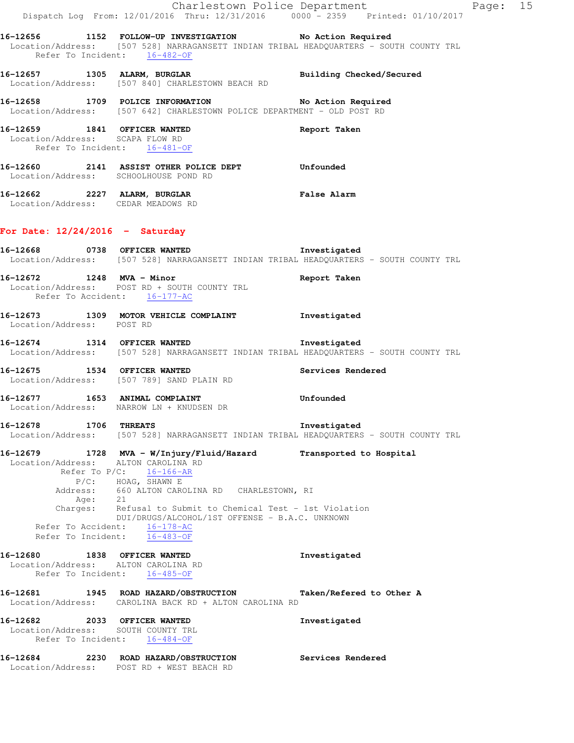|                                                                                                 | Dispatch Log From: 12/01/2016 Thru: 12/31/2016 0000 <sup>-</sup> 2359 Printed: 01/10/2017                                                          | Charlestown Police Department | Page: 15 |  |
|-------------------------------------------------------------------------------------------------|----------------------------------------------------------------------------------------------------------------------------------------------------|-------------------------------|----------|--|
| Refer To Incident: 16-482-OF                                                                    | 16-12656 1152 FOLLOW-UP INVESTIGATION No Action Required<br>Location/Address: [507 528] NARRAGANSETT INDIAN TRIBAL HEADQUARTERS - SOUTH COUNTY TRL |                               |          |  |
|                                                                                                 | 16-12657 1305 ALARM, BURGLAR 1997 Building Checked/Secured<br>Location/Address: [507 840] CHARLESTOWN BEACH RD                                     |                               |          |  |
|                                                                                                 | 16-12658 1709 POLICE INFORMATION No Action Required<br>Location/Address: [507 642] CHARLESTOWN POLICE DEPARTMENT - OLD POST RD                     |                               |          |  |
| 16-12659 1841 OFFICER WANTED<br>Location/Address: SCAPA FLOW RD<br>Refer To Incident: 16-481-OF |                                                                                                                                                    | Report Taken                  |          |  |
| Location/Address: SCHOOLHOUSE POND RD                                                           | 16-12660 2141 ASSIST OTHER POLICE DEPT Unfounded                                                                                                   |                               |          |  |
| Location/Address: CEDAR MEADOWS RD                                                              | 16-12662 2227 ALARM, BURGLAR 2008 Palse Alarm                                                                                                      |                               |          |  |
| For Date: $12/24/2016$ - Saturday                                                               |                                                                                                                                                    |                               |          |  |
|                                                                                                 | 16-12668 0738 OFFICER WANTED 10-12668<br>Location/Address: [507 528] NARRAGANSETT INDIAN TRIBAL HEADQUARTERS - SOUTH COUNTY TRL                    |                               |          |  |
| 16-12672 1248 MVA - Minor<br>Refer To Accident: 16-177-AC                                       | Location/Address: POST RD + SOUTH COUNTY TRL                                                                                                       | Report Taken                  |          |  |
| Location/Address: POST RD                                                                       | 16-12673 1309 MOTOR VEHICLE COMPLAINT                                                                                                              | Investigated                  |          |  |
|                                                                                                 | 16-12674 1314 OFFICER WANTED<br>Location/Address: [507 528] NARRAGANSETT INDIAN TRIBAL HEADQUARTERS - SOUTH COUNTY TRL                             | Investigated                  |          |  |
|                                                                                                 | 16-12675 1534 OFFICER WANTED<br>Location/Address: [507 789] SAND PLAIN RD                                                                          | Services Rendered             |          |  |
| Location/Address: NARROW LN + KNUDSEN DR                                                        | 16-12677 1653 ANIMAL COMPLAINT                                                                                                                     | Unfounded                     |          |  |
| 16-12678                                                                                        | 1706 THREATS<br>Location/Address: [507 528] NARRAGANSETT INDIAN TRIBAL HEADQUARTERS - SOUTH COUNTY TRL                                             | Investigated                  |          |  |
| 16-12679<br>Location/Address: ALTON CAROLINA RD                                                 | 1728 MVA - W/Injury/Fluid/Hazard<br>Refer To $P/C$ : 16-166-AR<br>$P/C:$ HOAG, SHAWN E                                                             | Transported to Hospital       |          |  |
| Age:<br>Charges:                                                                                | Address: 660 ALTON CAROLINA RD CHARLESTOWN, RI<br>21<br>Refusal to Submit to Chemical Test - 1st Violation                                         |                               |          |  |
| Refer To Accident: 16-178-AC<br>Refer To Incident:                                              | DUI/DRUGS/ALCOHOL/1ST OFFENSE - B.A.C. UNKNOWN<br>16-483-OF                                                                                        |                               |          |  |
| 16-12680<br>Location/Address: ALTON CAROLINA RD<br>Refer To Incident: 16-485-OF                 | 1838 OFFICER WANTED                                                                                                                                | Investigated                  |          |  |
|                                                                                                 | 16-12681 1945 ROAD HAZARD/OBSTRUCTION<br>Location/Address: CAROLINA BACK RD + ALTON CAROLINA RD                                                    | Taken/Refered to Other A      |          |  |
| 16-12682<br>Location/Address: SOUTH COUNTY TRL<br>Refer To Incident: 16-484-OF                  | 2033 OFFICER WANTED                                                                                                                                | Investigated                  |          |  |
| 16-12684                                                                                        | 2230 ROAD HAZARD/OBSTRUCTION<br>Location/Address: POST RD + WEST BEACH RD                                                                          | Services Rendered             |          |  |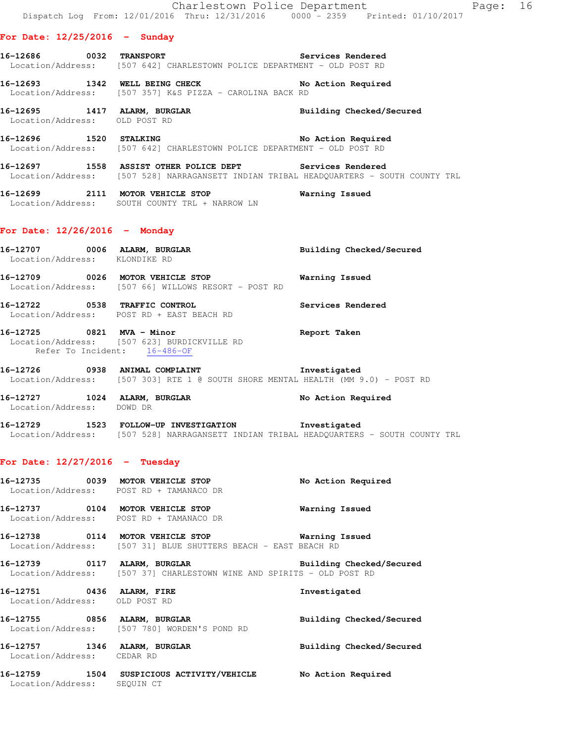#### **For Date: 12/25/2016 - Sunday**

- **16-12686 0032 TRANSPORT Services Rendered**  Location/Address: [507 642] CHARLESTOWN POLICE DEPARTMENT - OLD POST RD
- 16-12693 1342 WELL BEING CHECK No Action Required Location/Address: [507 357] K&S PIZZA - CAROLINA BACK RD
- **16-12695 1417 ALARM, BURGLAR Building Checked/Secured**  Location/Address: OLD POST RD
- 16-12696 1520 STALKING 16-12696 No Action Required Location/Address: [507 642] CHARLESTOWN POLICE DEPARTMENT - OLD POST RD
- **16-12697 1558 ASSIST OTHER POLICE DEPT Services Rendered**  Location/Address: [507 528] NARRAGANSETT INDIAN TRIBAL HEADQUARTERS - SOUTH COUNTY TRL
- **16-12699 2111 MOTOR VEHICLE STOP Warning Issued**  Location/Address: SOUTH COUNTY TRL + NARROW LN

#### **For Date: 12/26/2016 - Monday**

- 16-12707 0006 ALARM, BURGLAR **Building Checked/Secured**  Location/Address: KLONDIKE RD **16-12709 0026 MOTOR VEHICLE STOP Warning Issued**  Location/Address: [507 66] WILLOWS RESORT - POST RD **16-12722 0538 TRAFFIC CONTROL Services Rendered**  Location/Address: POST RD + EAST BEACH RD
- **16-12725 0821 MVA Minor Report Taken**  Location/Address: [507 623] BURDICKVILLE RD Refer To Incident: 16-486-OF
- **16-12726 0938 ANIMAL COMPLAINT Investigated**  Location/Address: [507 303] RTE 1 @ SOUTH SHORE MENTAL HEALTH (MM 9.0) - POST RD
- **16-12727 1024 ALARM, BURGLAR No Action Required**
- **16-12729 1523 FOLLOW-UP INVESTIGATION Investigated**  Location/Address: [507 528] NARRAGANSETT INDIAN TRIBAL HEADQUARTERS - SOUTH COUNTY TRL

#### **For Date: 12/27/2016 - Tuesday**

Location/Address: DOWD DR

**16-12735 0039 MOTOR VEHICLE STOP No Action Required**  Location/Address: POST RD + TAMANACO DR **16-12737 0104 MOTOR VEHICLE STOP Warning Issued**  Location/Address: POST RD + TAMANACO DR **16-12738 0114 MOTOR VEHICLE STOP Warning Issued**  Location/Address: [507 31] BLUE SHUTTERS BEACH - EAST BEACH RD **16-12739 0117 ALARM, BURGLAR Building Checked/Secured**  Location/Address: [507 37] CHARLESTOWN WINE AND SPIRITS - OLD POST RD **16-12751 0436 ALARM, FIRE Investigated**  Location/Address: OLD POST RD **16-12755 0856 ALARM, BURGLAR Building Checked/Secured**  Location/Address: [507 780] WORDEN'S POND RD **16-12757 1346 ALARM, BURGLAR Building Checked/Secured**  Location/Address: CEDAR RD **16-12759 1504 SUSPICIOUS ACTIVITY/VEHICLE No Action Required**  Location/Address: SEQUIN CT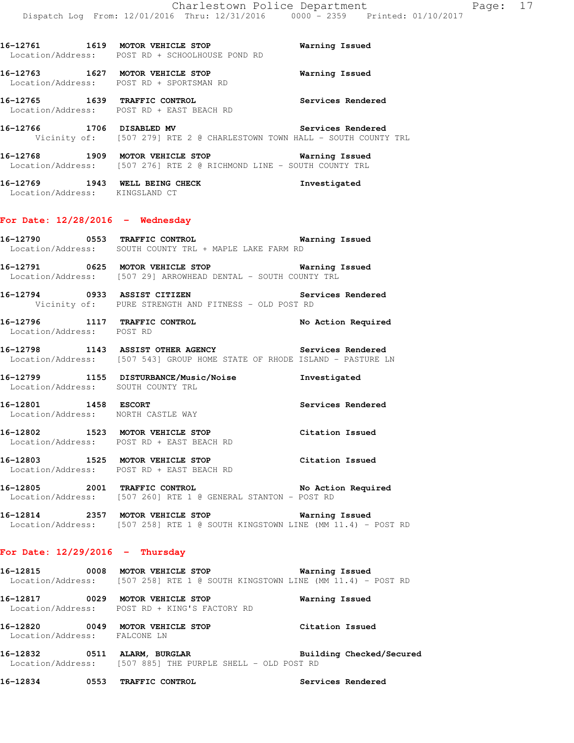**16-12765 1639 TRAFFIC CONTROL Services Rendered**  Location/Address: POST RD + EAST BEACH RD **16-12766 1706 DISABLED MV Services Rendered**  Vicinity of: [507 279] RTE 2 @ CHARLESTOWN TOWN HALL - SOUTH COUNTY TRL **16-12768 1909 MOTOR VEHICLE STOP Warning Issued**  Location/Address: [507 276] RTE 2 @ RICHMOND LINE - SOUTH COUNTY TRL **16-12769 1943 WELL BEING CHECK Investigated**  Location/Address: KINGSLAND CT

**16-12761 1619 MOTOR VEHICLE STOP Warning Issued** 

**16-12763 1627 MOTOR VEHICLE STOP Warning Issued** 

Location/Address: POST RD + SCHOOLHOUSE POND RD

Location/Address: POST RD + SPORTSMAN RD

## **For Date: 12/28/2016 - Wednesday**

**16-12790 0553 TRAFFIC CONTROL Warning Issued**  Location/Address: SOUTH COUNTY TRL + MAPLE LAKE FARM RD

**16-12791 0625 MOTOR VEHICLE STOP Warning Issued**  Location/Address: [507 29] ARROWHEAD DENTAL - SOUTH COUNTY TRL

**16-12794 0933 ASSIST CITIZEN Services Rendered**  Vicinity of: PURE STRENGTH AND FITNESS - OLD POST RD

**16-12796 1117 TRAFFIC CONTROL No Action Required**  Location/Address: POST RD

**16-12798 1143 ASSIST OTHER AGENCY Services Rendered**  Location/Address: [507 543] GROUP HOME STATE OF RHODE ISLAND - PASTURE LN

**16-12799 1155 DISTURBANCE/Music/Noise Investigated**  Location/Address: SOUTH COUNTY TRL

**16-12801 1458 ESCORT Services Rendered**  Location/Address: NORTH CASTLE WAY

**16-12802 1523 MOTOR VEHICLE STOP Citation Issued**  Location/Address: POST RD + EAST BEACH RD

**16-12803 1525 MOTOR VEHICLE STOP Citation Issued**  Location/Address: POST RD + EAST BEACH RD

**16-12805 2001 TRAFFIC CONTROL No Action Required**  Location/Address: [507 260] RTE 1 @ GENERAL STANTON - POST RD

**16-12814 2357 MOTOR VEHICLE STOP Warning Issued**  Location/Address: [507 258] RTE 1 @ SOUTH KINGSTOWN LINE (MM 11.4) - POST RD

## **For Date: 12/29/2016 - Thursday**

**16-12815 0008 MOTOR VEHICLE STOP Warning Issued**  Location/Address: [507 258] RTE 1 @ SOUTH KINGSTOWN LINE (MM 11.4) - POST RD

**16-12817 0029 MOTOR VEHICLE STOP Warning Issued**  Location/Address: POST RD + KING'S FACTORY RD

**16-12820 0049 MOTOR VEHICLE STOP Citation Issued**  Location/Address: FALCONE LN

**16-12832 0511 ALARM, BURGLAR Building Checked/Secured**  Location/Address: [507 885] THE PURPLE SHELL - OLD POST RD

**16-12834 0553 TRAFFIC CONTROL Services Rendered**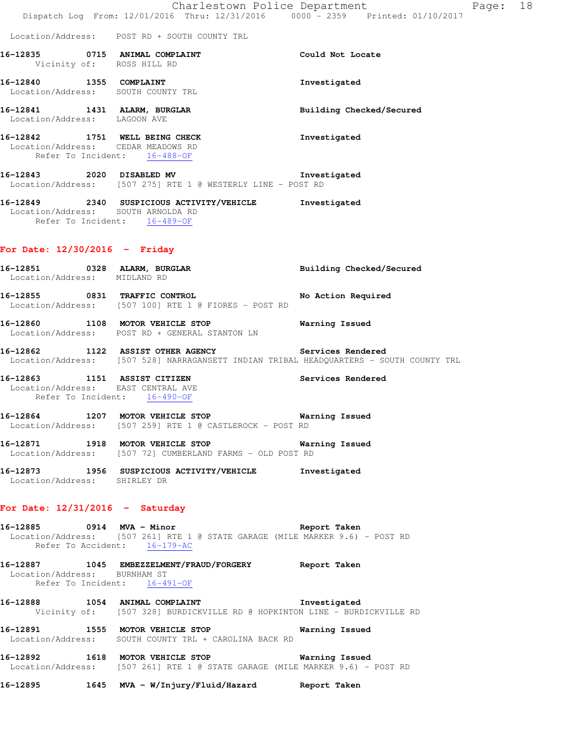|                                                                    | Dispatch Log From: 12/01/2016 Thru: 12/31/2016 0000 - 2359 Printed: 01/10/2017                                                            | Charlestown Police Department | Page: 18 |  |
|--------------------------------------------------------------------|-------------------------------------------------------------------------------------------------------------------------------------------|-------------------------------|----------|--|
|                                                                    | Location/Address: POST RD + SOUTH COUNTY TRL                                                                                              |                               |          |  |
| 16-12835 0715 ANIMAL COMPLAINT<br>Vicinity of: ROSS HILL RD        |                                                                                                                                           | Could Not Locate              |          |  |
| 16-12840 1355 COMPLAINT<br>Location/Address: SOUTH COUNTY TRL      |                                                                                                                                           | Investigated                  |          |  |
| 16-12841 1431 ALARM, BURGLAR<br>Location/Address: LAGOON AVE       |                                                                                                                                           | Building Checked/Secured      |          |  |
| Location/Address: CEDAR MEADOWS RD<br>Refer To Incident: 16-488-OF | 16-12842 1751 WELL BEING CHECK                                                                                                            | Investigated                  |          |  |
|                                                                    | 16-12843 2020 DISABLED MV 1nvestigated<br>Location/Address: [507 275] RTE 1 @ WESTERLY LINE - POST RD                                     |                               |          |  |
| Location/Address: SOUTH ARNOLDA RD<br>Refer To Incident: 16-489-OF | 16-12849 2340 SUSPICIOUS ACTIVITY/VEHICLE Investigated                                                                                    |                               |          |  |
| For Date: $12/30/2016$ - Friday                                    |                                                                                                                                           |                               |          |  |
| 16-12851 0328 ALARM, BURGLAR<br>Location/Address: MIDLAND RD       |                                                                                                                                           | Building Checked/Secured      |          |  |
|                                                                    | 16-12855 0831 TRAFFIC CONTROL<br>Location/Address: [507 100] RTE 1 @ FIORES - POST RD                                                     | No Action Required            |          |  |
|                                                                    | 16-12860 1108 MOTOR VEHICLE STOP 6 Warning Issued<br>Location/Address: POST RD + GENERAL STANTON LN                                       |                               |          |  |
|                                                                    | 16-12862 1122 ASSIST OTHER AGENCY<br>Location/Address: [507 528] NARRAGANSETT INDIAN TRIBAL HEADQUARTERS - SOUTH COUNTY TRL               | Services Rendered             |          |  |
| Location/Address: EAST CENTRAL AVE<br>Refer To Incident: 16-490-OF | 16-12863 1151 ASSIST CITIZEN                                                                                                              | Services Rendered             |          |  |
| 16-12864                                                           | 1207 MOTOR VEHICLE STOP<br>Location/Address: [507 259] RTE 1 @ CASTLEROCK - POST RD                                                       | Warning Issued                |          |  |
|                                                                    | 16-12871 1918 MOTOR VEHICLE STOP Warning Issued<br>Location/Address: [507 72] CUMBERLAND FARMS - OLD POST RD                              |                               |          |  |
| Location/Address: SHIRLEY DR                                       | 16-12873 1956 SUSPICIOUS ACTIVITY/VEHICLE Investigated                                                                                    |                               |          |  |
| For Date: $12/31/2016$ - Saturday                                  |                                                                                                                                           |                               |          |  |
|                                                                    | 16-12885 0914 MVA - Minor<br>Location/Address: [507 261] RTE 1 @ STATE GARAGE (MILE MARKER 9.6) - POST RD<br>Refer To Accident: 16-179-AC | Report Taken                  |          |  |
| Location/Address: BURNHAM ST                                       | 16-12887 1045 EMBEZZELMENT/FRAUD/FORGERY Report Taken<br>Refer To Incident: 16-491-OF                                                     |                               |          |  |
|                                                                    | 16-12888 1054 ANIMAL COMPLAINT The Investigated<br>Vicinity of: [507 328] BURDICKVILLE RD @ HOPKINTON LINE - BURDICKVILLE RD              |                               |          |  |
|                                                                    | 16-12891 1555 MOTOR VEHICLE STOP<br>Location/Address: SOUTH COUNTY TRL + CAROLINA BACK RD                                                 | Warning Issued                |          |  |
|                                                                    | 16-12892 1618 MOTOR VEHICLE STOP 6 Warning Issued<br>Location/Address: [507 261] RTE 1 @ STATE GARAGE (MILE MARKER 9.6) - POST RD         |                               |          |  |
|                                                                    | 16-12895 1645 MVA - W/Injury/Fluid/Hazard Report Taken                                                                                    |                               |          |  |